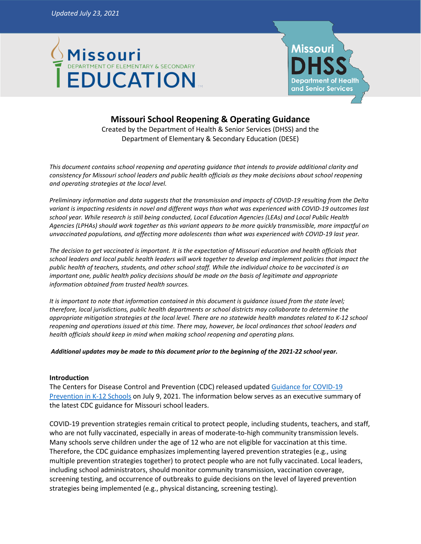



# **Missouri School Reopening & Operating Guidance**

Created by the Department of Health & Senior Services (DHSS) and the Department of Elementary & Secondary Education (DESE)

*This document contains school reopening and operating guidance that intends to provide additional clarity and consistency for Missouri school leaders and public health officials as they make decisions about school reopening and operating strategies at the local level.*

*Preliminary information and data suggests that the transmission and impacts of COVID-19 resulting from the Delta variant is impacting residents in novel and different ways than what was experienced with COVID-19 outcomes last school year. While research is still being conducted, Local Education Agencies (LEAs) and Local Public Health Agencies (LPHAs) should work together as this variant appears to be more quickly transmissible, more impactful on unvaccinated populations, and affecting more adolescents than what was experienced with COVID-19 last year.*

*The decision to get vaccinated is important. It is the expectation of Missouri education and health officials that school leaders and local public health leaders will work together to develop and implement policies that impact the public health of teachers, students, and other school staff. While the individual choice to be vaccinated is an important one, public health policy decisions should be made on the basis of legitimate and appropriate information obtained from trusted health sources.* 

*It is important to note that information contained in this document is guidance issued from the state level; therefore, local jurisdictions, public health departments or school districts may collaborate to determine the appropriate mitigation strategies at the local level. There are no statewide health mandates related to K-12 school reopening and operations issued at this time. There may, however, be local ordinances that school leaders and health officials should keep in mind when making school reopening and operating plans.*

*Additional updates may be made to this document prior to the beginning of the 2021-22 school year.*

# **Introduction**

The Centers for Disease Control and Prevention (CDC) released updated [Guidance for COVID-19](https://www.cdc.gov/coronavirus/2019-ncov/community/schools-childcare/k-12-guidance.html)  [Prevention in K-12 Schools](https://www.cdc.gov/coronavirus/2019-ncov/community/schools-childcare/k-12-guidance.html) on July 9, 2021. The information below serves as an executive summary of the latest CDC guidance for Missouri school leaders.

COVID-19 prevention strategies remain critical to protect people, including students, teachers, and staff, who are not fully vaccinated, especially in areas of moderate-to-high community transmission levels. Many schools serve children under the age of 12 who are not eligible for vaccination at this time. Therefore, the CDC guidance emphasizes implementing layered prevention strategies (e.g., using multiple prevention strategies together) to protect people who are not fully vaccinated. Local leaders, including school administrators, should monitor community transmission, vaccination coverage, screening testing, and occurrence of outbreaks to guide decisions on the level of layered prevention strategies being implemented (e.g., physical distancing, screening testing).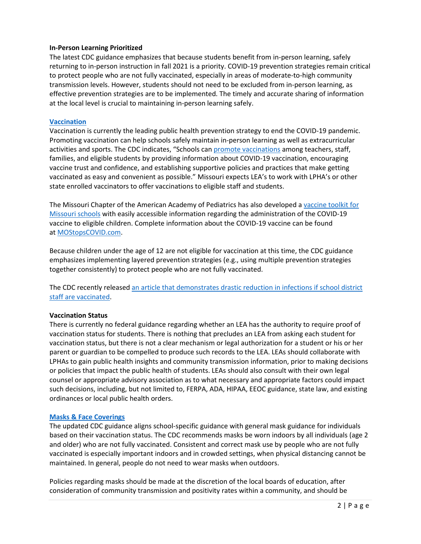#### **In-Person Learning Prioritized**

The latest CDC guidance emphasizes that because students benefit from in-person learning, safely returning to in-person instruction in fall 2021 is a priority. COVID-19 prevention strategies remain critical to protect people who are not fully vaccinated, especially in areas of moderate-to-high community transmission levels. However, students should not need to be excluded from in-person learning, as effective prevention strategies are to be implemented. The timely and accurate sharing of information at the local level is crucial to maintaining in-person learning safely.

#### **[Vaccination](https://www.cdc.gov/coronavirus/2019-ncov/community/schools-childcare/k-12-guidance.html#vaccination)**

Vaccination is currently the leading public health prevention strategy to end the COVID-19 pandemic. Promoting vaccination can help schools safely maintain in-person learning as well as extracurricular activities and sports. The CDC indicates, "Schools can [promote vaccinations](https://www.cdc.gov/vaccines/covid-19/planning/school-located-clinics/how-schools-can-support.html) among teachers, staff, families, and eligible students by providing information about COVID-19 vaccination, encouraging vaccine trust and confidence, and establishing supportive policies and practices that make getting vaccinated as easy and convenient as possible." Missouri expects LEA's to work with LPHA's or other state enrolled vaccinators to offer vaccinations to eligible staff and students.

The Missouri Chapter of the American Academy of Pediatrics has also developed a [vaccine toolkit for](https://missouriaap.org/wp-content/uploads/2021/06/MO-Vaccine-Toolkit-062121.pdf)  [Missouri schools](https://missouriaap.org/wp-content/uploads/2021/06/MO-Vaccine-Toolkit-062121.pdf) with easily accessible information regarding the administration of the COVID-19 vaccine to eligible children. Complete information about the COVID-19 vaccine can be found at [MOStopsCOVID.com.](https://covidvaccine.mo.gov/)

Because children under the age of 12 are not eligible for vaccination at this time, the CDC guidance emphasizes implementing layered prevention strategies (e.g., using multiple prevention strategies together consistently) to protect people who are not fully vaccinated.

The CDC recently release[d an article that demonstrates drastic reduction in infections if school district](https://www.cdc.gov/mmwr/volumes/70/wr/pdfs/mm7030e1-H.pdf)  [staff are vaccinated.](https://www.cdc.gov/mmwr/volumes/70/wr/pdfs/mm7030e1-H.pdf)

# **Vaccination Status**

There is currently no federal guidance regarding whether an LEA has the authority to require proof of vaccination status for students. There is nothing that precludes an LEA from asking each student for vaccination status, but there is not a clear mechanism or legal authorization for a student or his or her parent or guardian to be compelled to produce such records to the LEA. LEAs should collaborate with LPHAs to gain public health insights and community transmission information, prior to making decisions or policies that impact the public health of students. LEAs should also consult with their own legal counsel or appropriate advisory association as to what necessary and appropriate factors could impact such decisions, including, but not limited to, FERPA, ADA, HIPAA, EEOC guidance, state law, and existing ordinances or local public health orders.

#### **[Masks & Face Coverings](https://www.cdc.gov/coronavirus/2019-ncov/community/schools-childcare/k-12-guidance.html#mask-use)**

The updated CDC guidance aligns school-specific guidance with general mask guidance for individuals based on their vaccination status. The CDC recommends masks be worn indoors by all individuals (age 2 and older) who are not fully vaccinated. Consistent and correct mask use by people who are not fully vaccinated is especially important indoors and in crowded settings, when physical distancing cannot be maintained. In general, people do not need to wear masks when outdoors.

Policies regarding masks should be made at the discretion of the local boards of education, after consideration of community transmission and positivity rates within a community, and should be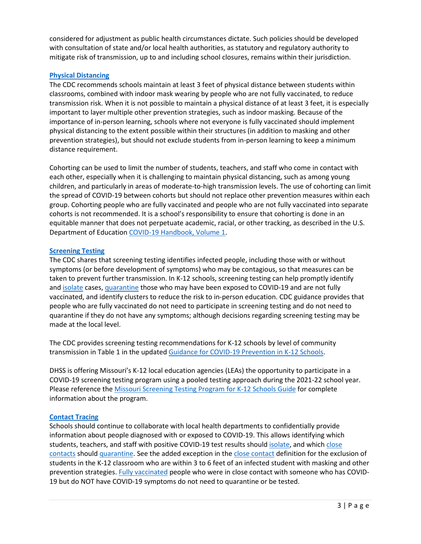considered for adjustment as public health circumstances dictate. Such policies should be developed with consultation of state and/or local health authorities, as statutory and regulatory authority to mitigate risk of transmission, up to and including school closures, remains within their jurisdiction.

# **[Physical Distancing](https://www.cdc.gov/coronavirus/2019-ncov/community/schools-childcare/k-12-guidance.html#physical-distancing)**

The CDC recommends schools maintain at least 3 feet of physical distance between students within classrooms, combined with indoor mask wearing by people who are not fully vaccinated, to reduce transmission risk. When it is not possible to maintain a physical distance of at least 3 feet, it is especially important to layer multiple other prevention strategies, such as indoor masking. Because of the importance of in-person learning, schools where not everyone is fully vaccinated should implement physical distancing to the extent possible within their structures (in addition to masking and other prevention strategies), but should not exclude students from in-person learning to keep a minimum distance requirement.

Cohorting can be used to limit the number of students, teachers, and staff who come in contact with each other, especially when it is challenging to maintain physical distancing, such as among young children, and particularly in areas of moderate-to-high transmission levels. The use of cohorting can limit the spread of COVID-19 between cohorts but should not replace other prevention measures within each group. Cohorting people who are fully vaccinated and people who are not fully vaccinated into separate cohorts is not recommended. It is a school's responsibility to ensure that cohorting is done in an equitable manner that does not perpetuate academic, racial, or other tracking, as described in the U.S. Department of Education [COVID-19 Handbook, Volume 1.](https://www.ed.gov/news/press-releases/us-department-education-covid-19-handbook-volume-1-strategies-safely-reopening-elementary-and-secondary-schools)

# **[Screening Testing](https://www.cdc.gov/coronavirus/2019-ncov/community/schools-childcare/k-12-guidance.html#screening-testing)**

The CDC shares that screening testing identifies infected people, including those with or without symptoms (or before development of symptoms) who may be contagious, so that measures can be taken to prevent further transmission. In K-12 schools, screening testing can help promptly identify and [isolate](https://www.cdc.gov/coronavirus/2019-ncov/if-you-are-sick/isolation.html) cases, [quarantine](https://www.cdc.gov/coronavirus/2019-ncov/if-you-are-sick/quarantine.html) those who may have been exposed to COVID-19 and are not fully vaccinated, and identify clusters to reduce the risk to in-person education. CDC guidance provides that people who are fully vaccinated do not need to participate in screening testing and do not need to quarantine if they do not have any symptoms; although decisions regarding screening testing may be made at the local level.

The CDC provides screening testing recommendations for K-12 schools by level of community transmission in Table 1 in the update[d Guidance for COVID-19 Prevention in K-12 Schools.](https://www.cdc.gov/coronavirus/2019-ncov/community/schools-childcare/k-12-guidance.html)

DHSS is offering Missouri's K-12 local education agencies (LEAs) the opportunity to participate in a COVID-19 screening testing program using a pooled testing approach during the 2021-22 school year. Please reference the [Missouri Screening Testing Program for K-12 Schools Guide](https://health.mo.gov/living/healthcondiseases/communicable/novel-coronavirus/pdf/k-12-screening-testing-program-guide.pdf) for complete information about the program.

# **[Contact Tracing](https://www.cdc.gov/coronavirus/2019-ncov/community/schools-childcare/k-12-guidance.html#contact-tracing)**

Schools should continue to collaborate with local health departments to confidentially provide information about people diagnosed with or exposed to COVID-19. This allows identifying which students, teachers, and staff with positive COVID-19 test results should [isolate,](https://www.cdc.gov/coronavirus/2019-ncov/if-you-are-sick/isolation.html) and which close [contacts](https://www.cdc.gov/coronavirus/2019-ncov/php/contact-tracing/contact-tracing-plan/appendix.html#contact) should [quarantine.](https://www.cdc.gov/coronavirus/2019-ncov/if-you-are-sick/quarantine.html) See the added exception in the [close contact](https://www.cdc.gov/coronavirus/2019-ncov/php/contact-tracing/contact-tracing-plan/appendix.html#contact) definition for the exclusion of students in the K-12 classroom who are within 3 to 6 feet of an infected student with masking and other prevention strategies. [Fully vaccinated](https://www.cdc.gov/coronavirus/2019-ncov/vaccines/fully-vaccinated-guidance.html) people who were in close contact with someone who has COVID-19 but do NOT have COVID-19 symptoms do not need to quarantine or be tested.